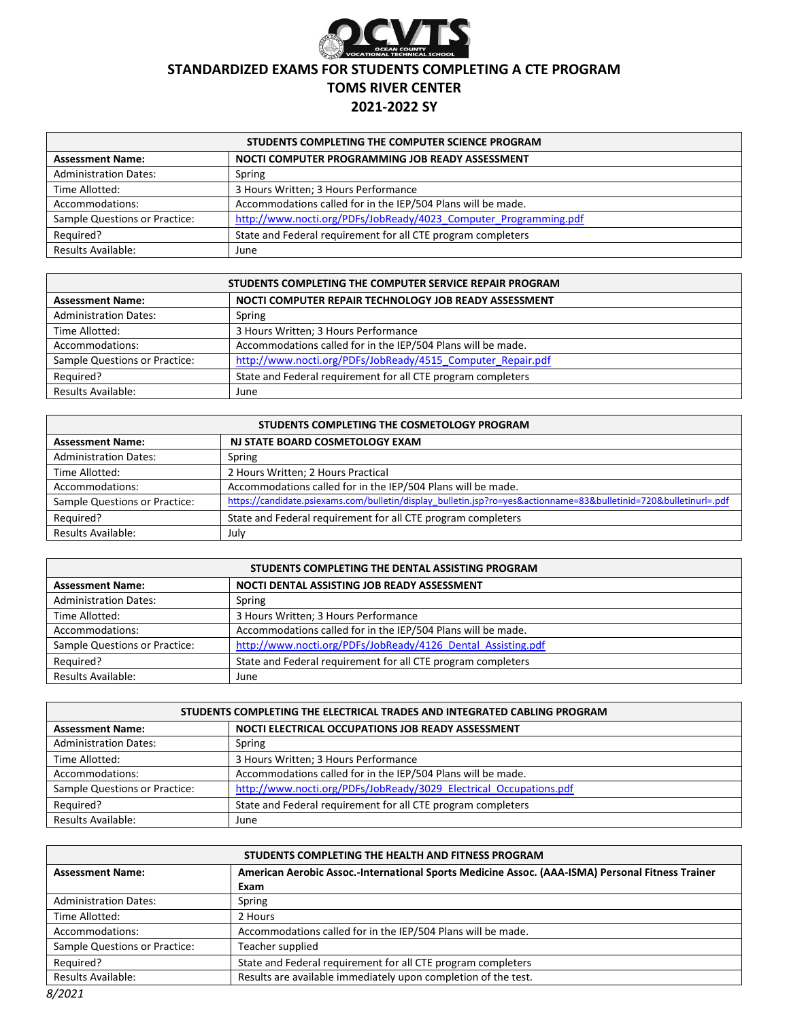

# **STANDARDIZED EXAMS FOR STUDENTS COMPLETING A CTE PROGRAM**

### **TOMS RIVER CENTER**

#### **2021-2022 SY**

| STUDENTS COMPLETING THE COMPUTER SCIENCE PROGRAM |                                                                  |
|--------------------------------------------------|------------------------------------------------------------------|
| <b>Assessment Name:</b>                          | NOCTI COMPUTER PROGRAMMING JOB READY ASSESSMENT                  |
| <b>Administration Dates:</b>                     | Spring                                                           |
| Time Allotted:                                   | 3 Hours Written; 3 Hours Performance                             |
| Accommodations:                                  | Accommodations called for in the IEP/504 Plans will be made.     |
| Sample Questions or Practice:                    | http://www.nocti.org/PDFs/JobReady/4023 Computer Programming.pdf |
| Required?                                        | State and Federal requirement for all CTE program completers     |
| <b>Results Available:</b>                        | June                                                             |

| STUDENTS COMPLETING THE COMPUTER SERVICE REPAIR PROGRAM |                                                              |
|---------------------------------------------------------|--------------------------------------------------------------|
| <b>Assessment Name:</b>                                 | NOCTI COMPUTER REPAIR TECHNOLOGY JOB READY ASSESSMENT        |
| <b>Administration Dates:</b>                            | Spring                                                       |
| Time Allotted:                                          | 3 Hours Written; 3 Hours Performance                         |
| Accommodations:                                         | Accommodations called for in the IEP/504 Plans will be made. |
| Sample Questions or Practice:                           | http://www.nocti.org/PDFs/JobReady/4515 Computer Repair.pdf  |
| Required?                                               | State and Federal requirement for all CTE program completers |
| <b>Results Available:</b>                               | June                                                         |

| STUDENTS COMPLETING THE COSMETOLOGY PROGRAM |                                                                                                                   |
|---------------------------------------------|-------------------------------------------------------------------------------------------------------------------|
| <b>Assessment Name:</b>                     | NJ STATE BOARD COSMETOLOGY EXAM                                                                                   |
| <b>Administration Dates:</b>                | Spring                                                                                                            |
| Time Allotted:                              | 2 Hours Written; 2 Hours Practical                                                                                |
| Accommodations:                             | Accommodations called for in the IEP/504 Plans will be made.                                                      |
| Sample Questions or Practice:               | https://candidate.psiexams.com/bulletin/display_bulletin.jsp?ro=yes&actionname=83&bulletinid=720&bulletinurl=.pdf |
| Required?                                   | State and Federal requirement for all CTE program completers                                                      |
| <b>Results Available:</b>                   | July                                                                                                              |

| STUDENTS COMPLETING THE DENTAL ASSISTING PROGRAM |                                                              |
|--------------------------------------------------|--------------------------------------------------------------|
| <b>Assessment Name:</b>                          | NOCTI DENTAL ASSISTING JOB READY ASSESSMENT                  |
| <b>Administration Dates:</b>                     | Spring                                                       |
| Time Allotted:                                   | 3 Hours Written; 3 Hours Performance                         |
| Accommodations:                                  | Accommodations called for in the IEP/504 Plans will be made. |
| Sample Questions or Practice:                    | http://www.nocti.org/PDFs/JobReady/4126 Dental Assisting.pdf |
| Required?                                        | State and Federal requirement for all CTE program completers |
| <b>Results Available:</b>                        | June                                                         |

| STUDENTS COMPLETING THE ELECTRICAL TRADES AND INTEGRATED CABLING PROGRAM |                                                                    |
|--------------------------------------------------------------------------|--------------------------------------------------------------------|
| <b>Assessment Name:</b>                                                  | NOCTI ELECTRICAL OCCUPATIONS JOB READY ASSESSMENT                  |
| <b>Administration Dates:</b>                                             | Spring                                                             |
| Time Allotted:                                                           | 3 Hours Written; 3 Hours Performance                               |
| Accommodations:                                                          | Accommodations called for in the IEP/504 Plans will be made.       |
| Sample Questions or Practice:                                            | http://www.nocti.org/PDFs/JobReady/3029 Electrical Occupations.pdf |
| Required?                                                                | State and Federal requirement for all CTE program completers       |
| <b>Results Available:</b>                                                | June                                                               |

| STUDENTS COMPLETING THE HEALTH AND FITNESS PROGRAM |                                                                                                  |
|----------------------------------------------------|--------------------------------------------------------------------------------------------------|
| <b>Assessment Name:</b>                            | American Aerobic Assoc.-International Sports Medicine Assoc. (AAA-ISMA) Personal Fitness Trainer |
|                                                    | Exam                                                                                             |
| <b>Administration Dates:</b>                       | Spring                                                                                           |
| Time Allotted:                                     | 2 Hours                                                                                          |
| Accommodations:                                    | Accommodations called for in the IEP/504 Plans will be made.                                     |
| Sample Questions or Practice:                      | Teacher supplied                                                                                 |
| Required?                                          | State and Federal requirement for all CTE program completers                                     |
| Results Available:                                 | Results are available immediately upon completion of the test.                                   |
| 0/2024                                             |                                                                                                  |